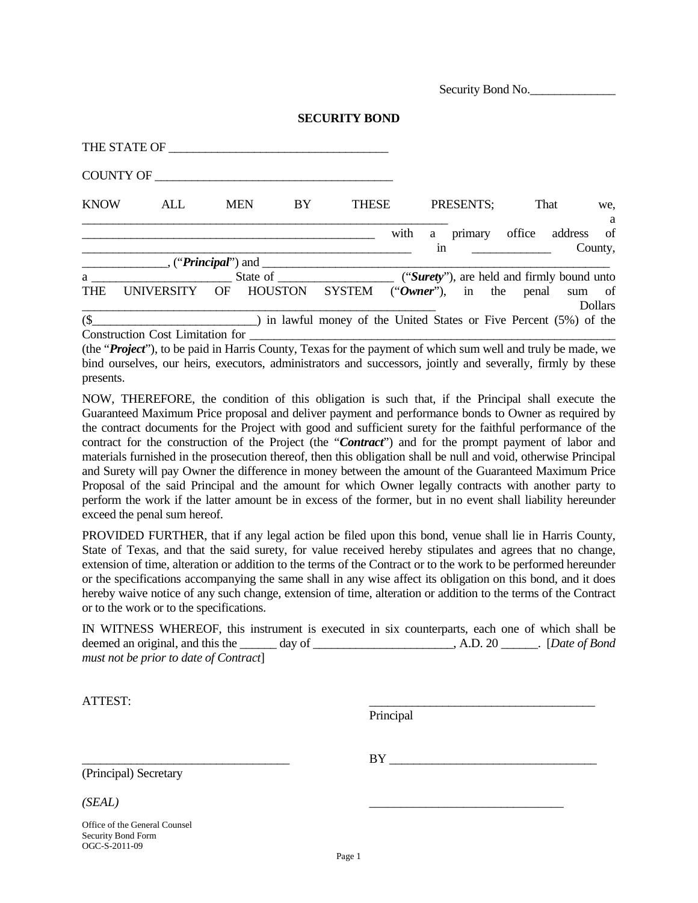Security Bond No.

|             | THE STATE OF                                                |            |    |                                                                  |  |           |  |                                  |  |                |  |
|-------------|-------------------------------------------------------------|------------|----|------------------------------------------------------------------|--|-----------|--|----------------------------------|--|----------------|--|
|             |                                                             |            |    |                                                                  |  |           |  |                                  |  |                |  |
| <b>KNOW</b> | ALL                                                         | <b>MEN</b> | BY | <b>THESE</b>                                                     |  | PRESENTS: |  | That                             |  | we,<br>a       |  |
|             |                                                             |            |    |                                                                  |  | in        |  | with a primary office address of |  | County,        |  |
|             |                                                             |            |    |                                                                  |  |           |  |                                  |  |                |  |
| a           |                                                             |            |    |                                                                  |  |           |  |                                  |  |                |  |
| <b>THE</b>  | UNIVERSITY OF HOUSTON SYSTEM ("Owner"), in the penal sum of |            |    |                                                                  |  |           |  |                                  |  | <b>Dollars</b> |  |
| $\sqrt{S}$  |                                                             |            |    | in lawful money of the United States or Five Percent (5%) of the |  |           |  |                                  |  |                |  |
|             | <b>Construction Cost Limitation for</b>                     |            |    |                                                                  |  |           |  |                                  |  |                |  |

(the "*Project*"), to be paid in Harris County, Texas for the payment of which sum well and truly be made, we bind ourselves, our heirs, executors, administrators and successors, jointly and severally, firmly by these presents.

NOW, THEREFORE, the condition of this obligation is such that, if the Principal shall execute the Guaranteed Maximum Price proposal and deliver payment and performance bonds to Owner as required by the contract documents for the Project with good and sufficient surety for the faithful performance of the contract for the construction of the Project (the "*Contract*") and for the prompt payment of labor and materials furnished in the prosecution thereof, then this obligation shall be null and void, otherwise Principal and Surety will pay Owner the difference in money between the amount of the Guaranteed Maximum Price Proposal of the said Principal and the amount for which Owner legally contracts with another party to perform the work if the latter amount be in excess of the former, but in no event shall liability hereunder exceed the penal sum hereof.

PROVIDED FURTHER, that if any legal action be filed upon this bond, venue shall lie in Harris County, State of Texas, and that the said surety, for value received hereby stipulates and agrees that no change, extension of time, alteration or addition to the terms of the Contract or to the work to be performed hereunder or the specifications accompanying the same shall in any wise affect its obligation on this bond, and it does hereby waive notice of any such change, extension of time, alteration or addition to the terms of the Contract or to the work or to the specifications.

| IN WITNESS WHEREOF, this instrument is executed in six counterparts, each one of which shall be |                                        |  |
|-------------------------------------------------------------------------------------------------|----------------------------------------|--|
| deemed an original, and this the day of                                                         | $\Box$ , A.D. 20 $\Box$ [Date of Bond] |  |
| must not be prior to date of Contract                                                           |                                        |  |

ATTEST: \_\_\_\_\_\_\_\_\_\_\_\_\_\_\_\_\_\_\_\_\_\_\_\_\_\_\_\_\_\_\_\_\_\_\_\_\_

Principal

(Principal) Secretary

 $BY \tightharpoonup$ 

*(SEAL) \_\_\_\_\_\_\_\_\_\_\_\_\_\_\_\_\_\_\_\_\_\_\_\_\_\_\_\_\_\_\_*

Office of the General Counsel Security Bond Form OGC-S-2011-09